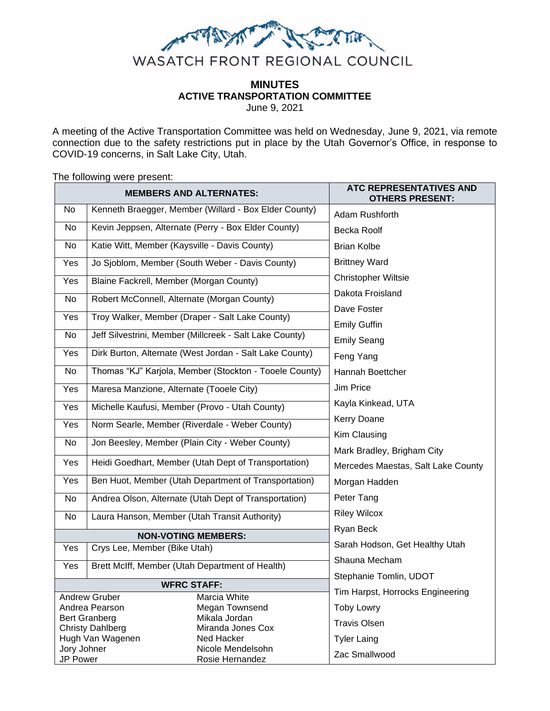

# **MINUTES ACTIVE TRANSPORTATION COMMITTEE**

June 9, 2021

A meeting of the Active Transportation Committee was held on Wednesday, June 9, 2021, via remote connection due to the safety restrictions put in place by the Utah Governor's Office, in response to COVID-19 concerns, in Salt Lake City, Utah.

The following were present:

| <b>MEMBERS AND ALTERNATES:</b>                |                                                         |                                                       | ATC REPRESENTATIVES AND<br><b>OTHERS PRESENT:</b> |
|-----------------------------------------------|---------------------------------------------------------|-------------------------------------------------------|---------------------------------------------------|
| No                                            | Kenneth Braegger, Member (Willard - Box Elder County)   |                                                       | Adam Rushforth                                    |
| No                                            | Kevin Jeppsen, Alternate (Perry - Box Elder County)     |                                                       | <b>Becka Roolf</b>                                |
| No                                            | Katie Witt, Member (Kaysville - Davis County)           |                                                       | <b>Brian Kolbe</b>                                |
| Yes                                           | Jo Sjoblom, Member (South Weber - Davis County)         |                                                       | <b>Brittney Ward</b>                              |
| Yes                                           | Blaine Fackrell, Member (Morgan County)                 |                                                       | <b>Christopher Wiltsie</b>                        |
| No                                            | Robert McConnell, Alternate (Morgan County)             |                                                       | Dakota Froisland                                  |
| Yes                                           | Troy Walker, Member (Draper - Salt Lake County)         |                                                       | Dave Foster                                       |
|                                               | Jeff Silvestrini, Member (Millcreek - Salt Lake County) |                                                       | <b>Emily Guffin</b>                               |
| No                                            |                                                         |                                                       | <b>Emily Seang</b>                                |
| Yes                                           | Dirk Burton, Alternate (West Jordan - Salt Lake County) |                                                       | Feng Yang                                         |
| No                                            | Thomas "KJ" Karjola, Member (Stockton - Tooele County)  |                                                       | Hannah Boettcher                                  |
| Yes                                           | Maresa Manzione, Alternate (Tooele City)                |                                                       | Jim Price                                         |
| Yes                                           | Michelle Kaufusi, Member (Provo - Utah County)          |                                                       | Kayla Kinkead, UTA                                |
| Yes                                           | Norm Searle, Member (Riverdale - Weber County)          |                                                       | Kerry Doane                                       |
| No                                            | Jon Beesley, Member (Plain City - Weber County)         |                                                       | Kim Clausing                                      |
|                                               |                                                         |                                                       | Mark Bradley, Brigham City                        |
| Yes                                           |                                                         | Heidi Goedhart, Member (Utah Dept of Transportation)  | Mercedes Maestas, Salt Lake County                |
| Yes                                           | Ben Huot, Member (Utah Department of Transportation)    |                                                       | Morgan Hadden                                     |
| No                                            |                                                         | Andrea Olson, Alternate (Utah Dept of Transportation) | Peter Tang                                        |
| No                                            | Laura Hanson, Member (Utah Transit Authority)           |                                                       | <b>Riley Wilcox</b>                               |
| <b>NON-VOTING MEMBERS:</b>                    |                                                         |                                                       | Ryan Beck                                         |
| Yes                                           | Crys Lee, Member (Bike Utah)                            |                                                       | Sarah Hodson, Get Healthy Utah                    |
| Yes                                           | Brett McIff, Member (Utah Department of Health)         |                                                       | Shauna Mecham                                     |
| <b>WFRC STAFF:</b>                            |                                                         |                                                       | Stephanie Tomlin, UDOT                            |
| <b>Andrew Gruber</b><br>Marcia White          |                                                         |                                                       | Tim Harpst, Horrocks Engineering                  |
| Andrea Pearson<br>Megan Townsend              |                                                         |                                                       | <b>Toby Lowry</b>                                 |
| <b>Bert Granberg</b><br>Mikala Jordan         |                                                         |                                                       | <b>Travis Olsen</b>                               |
| <b>Christy Dahlberg</b><br>Miranda Jones Cox  |                                                         |                                                       |                                                   |
| Hugh Van Wagenen<br>Ned Hacker<br>Jory Johner |                                                         | Nicole Mendelsohn                                     | <b>Tyler Laing</b>                                |
| <b>JP Power</b><br>Rosie Hernandez            |                                                         |                                                       | Zac Smallwood                                     |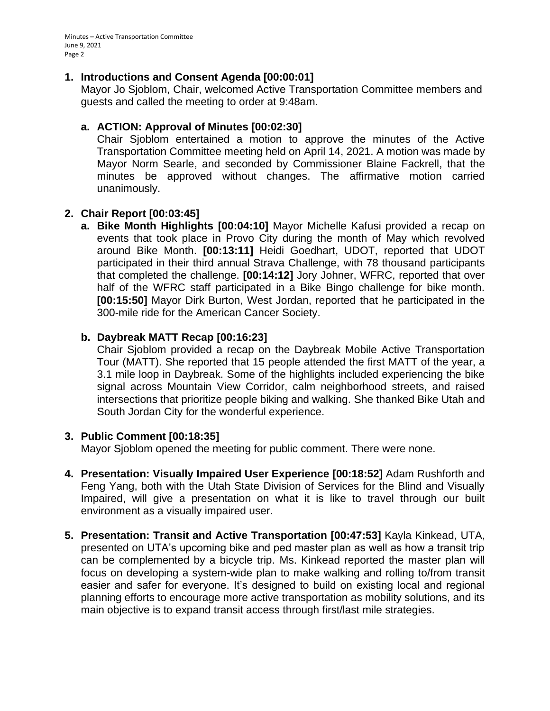Minutes – Active Transportation Committee June 9, 2021 Page 2

#### **1. Introductions and Consent Agenda [00:00:01]**

Mayor Jo Sjoblom, Chair, welcomed Active Transportation Committee members and guests and called the meeting to order at 9:48am.

## **a. ACTION: Approval of Minutes [00:02:30]**

Chair Sjoblom entertained a motion to approve the minutes of the Active Transportation Committee meeting held on April 14, 2021. A motion was made by Mayor Norm Searle, and seconded by Commissioner Blaine Fackrell, that the minutes be approved without changes. The affirmative motion carried unanimously.

# **2. Chair Report [00:03:45]**

**a. Bike Month Highlights [00:04:10]** Mayor Michelle Kafusi provided a recap on events that took place in Provo City during the month of May which revolved around Bike Month. **[00:13:11]** Heidi Goedhart, UDOT, reported that UDOT participated in their third annual Strava Challenge, with 78 thousand participants that completed the challenge. **[00:14:12]** Jory Johner, WFRC, reported that over half of the WFRC staff participated in a Bike Bingo challenge for bike month. **[00:15:50]** Mayor Dirk Burton, West Jordan, reported that he participated in the 300-mile ride for the American Cancer Society.

## **b. Daybreak MATT Recap [00:16:23]**

Chair Sjoblom provided a recap on the Daybreak Mobile Active Transportation Tour (MATT). She reported that 15 people attended the first MATT of the year, a 3.1 mile loop in Daybreak. Some of the highlights included experiencing the bike signal across Mountain View Corridor, calm neighborhood streets, and raised intersections that prioritize people biking and walking. She thanked Bike Utah and South Jordan City for the wonderful experience.

## **3. Public Comment [00:18:35]**

Mayor Sjoblom opened the meeting for public comment. There were none.

- **4. Presentation: Visually Impaired User Experience [00:18:52]** Adam Rushforth and Feng Yang, both with the Utah State Division of Services for the Blind and Visually Impaired, will give a presentation on what it is like to travel through our built environment as a visually impaired user.
- **5. Presentation: Transit and Active Transportation [00:47:53]** Kayla Kinkead, UTA, presented on UTA's upcoming bike and ped master plan as well as how a transit trip can be complemented by a bicycle trip. Ms. Kinkead reported the master plan will focus on developing a system-wide plan to make walking and rolling to/from transit easier and safer for everyone. It's designed to build on existing local and regional planning efforts to encourage more active transportation as mobility solutions, and its main objective is to expand transit access through first/last mile strategies.